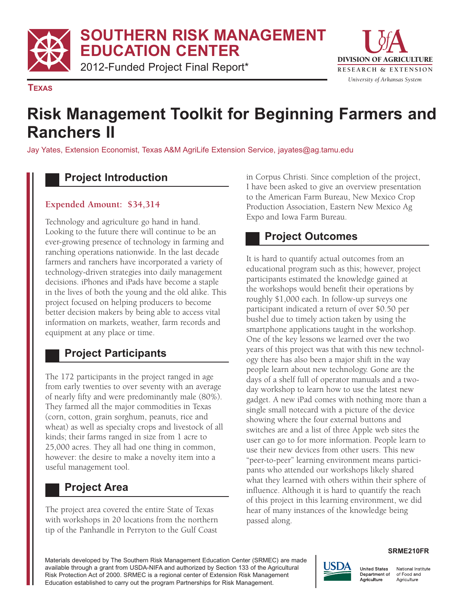**SOUTHERN RISK MANAGEMENT EDUCATION CENTER** 



**TEXAS** 

# **Risk Management Toolkit for Beginning Farmers and Ranchers II**

Jay Yates, Extension Economist, Texas A&M AgriLife Extension Service, jayates@ag.tamu.edu

#### **Project Introduction**

#### **Expended Amount: \$34,314**

Technology and agriculture go hand in hand. Looking to the future there will continue to be an ever-growing presence of technology in farming and ranching operations nationwide. In the last decade farmers and ranchers have incorporated a variety of technology-driven strategies into daily management decisions. iPhones and iPads have become a staple in the lives of both the young and the old alike. This project focused on helping producers to become better decision makers by being able to access vital information on markets, weather, farm records and equipment at any place or time.

#### **Project Participants**

The 172 participants in the project ranged in age from early twenties to over seventy with an average of nearly fifty and were predominantly male (80%). They farmed all the major commodities in Texas (corn, cotton, grain sorghum, peanuts, rice and wheat) as well as specialty crops and livestock of all kinds; their farms ranged in size from 1 acre to 25,000 acres. They all had one thing in common, however: the desire to make a novelty item into a useful management tool.

## **Project Area**

The project area covered the entire State of Texas with workshops in 20 locations from the northern tip of the Panhandle in Perryton to the Gulf Coast

in Corpus Christi. Since completion of the project, I have been asked to give an overview presentation to the American Farm Bureau, New Mexico Crop Production Association, Eastern New Mexico Ag Expo and Iowa Farm Bureau.

## **Project Outcomes**

It is hard to quantify actual outcomes from an educational program such as this; however, project participants estimated the knowledge gained at the workshops would benefit their operations by roughly \$1,000 each. In follow-up surveys one participant indicated a return of over \$0.50 per bushel due to timely action taken by using the smartphone applications taught in the workshop. One of the key lessons we learned over the two years of this project was that with this new technology there has also been a major shift in the way people learn about new technology. Gone are the days of a shelf full of operator manuals and a twoday workshop to learn how to use the latest new gadget. A new iPad comes with nothing more than a single small notecard with a picture of the device showing where the four external buttons and switches are and a list of three Apple web sites the user can go to for more information. People learn to use their new devices from other users. This new "peer-to-peer" learning environment means participants who attended our workshops likely shared what they learned with others within their sphere of influence. Although it is hard to quantify the reach of this project in this learning environment, we did hear of many instances of the knowledge being passed along.

Materials developed by The Southern Risk Management Education Center (SRMEC) are made available through a grant from USDA-NIFA and authorized by Section 133 of the Agricultural Risk Protection Act of 2000. SRMEC is a regional center of Extension Risk Management Education established to carry out the program Partnerships for Risk Management.

#### **SRME210FR**



National Institute Department of of Food and Agriculture